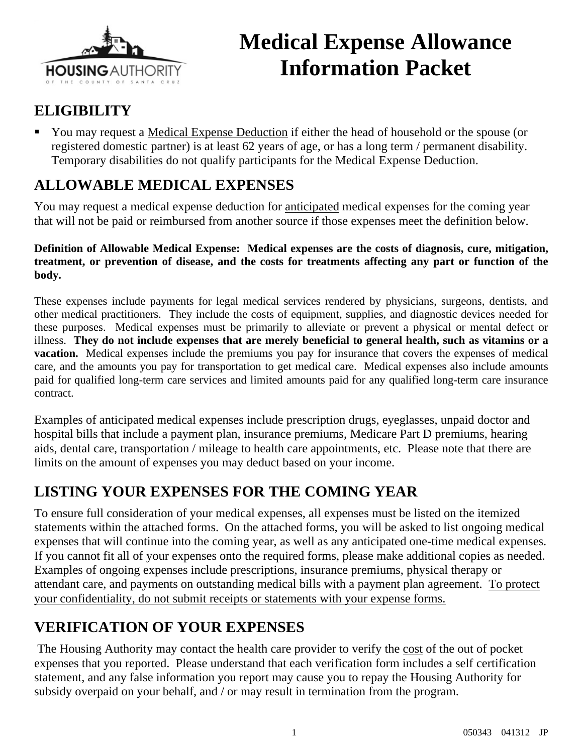

# **Medical Expense Allowance Information Packet**

### **ELIGIBILITY**

 You may request a Medical Expense Deduction if either the head of household or the spouse (or registered domestic partner) is at least 62 years of age, or has a long term / permanent disability. Temporary disabilities do not qualify participants for the Medical Expense Deduction.

### **ALLOWABLE MEDICAL EXPENSES**

You may request a medical expense deduction for anticipated medical expenses for the coming year that will not be paid or reimbursed from another source if those expenses meet the definition below.

**Definition of Allowable Medical Expense: Medical expenses are the costs of diagnosis, cure, mitigation, treatment, or prevention of disease, and the costs for treatments affecting any part or function of the body.** 

These expenses include payments for legal medical services rendered by physicians, surgeons, dentists, and other medical practitioners. They include the costs of equipment, supplies, and diagnostic devices needed for these purposes. Medical expenses must be primarily to alleviate or prevent a physical or mental defect or illness. **They do not include expenses that are merely beneficial to general health, such as vitamins or a vacation.** Medical expenses include the premiums you pay for insurance that covers the expenses of medical care, and the amounts you pay for transportation to get medical care. Medical expenses also include amounts paid for qualified long-term care services and limited amounts paid for any qualified long-term care insurance contract.

Examples of anticipated medical expenses include prescription drugs, eyeglasses, unpaid doctor and hospital bills that include a payment plan, insurance premiums, Medicare Part D premiums, hearing aids, dental care, transportation / mileage to health care appointments, etc. Please note that there are limits on the amount of expenses you may deduct based on your income.

### **LISTING YOUR EXPENSES FOR THE COMING YEAR**

To ensure full consideration of your medical expenses, all expenses must be listed on the itemized statements within the attached forms. On the attached forms, you will be asked to list ongoing medical expenses that will continue into the coming year, as well as any anticipated one-time medical expenses. If you cannot fit all of your expenses onto the required forms, please make additional copies as needed. Examples of ongoing expenses include prescriptions, insurance premiums, physical therapy or attendant care, and payments on outstanding medical bills with a payment plan agreement. To protect your confidentiality, do not submit receipts or statements with your expense forms.

### **VERIFICATION OF YOUR EXPENSES**

The Housing Authority may contact the health care provider to verify the cost of the out of pocket expenses that you reported. Please understand that each verification form includes a self certification statement, and any false information you report may cause you to repay the Housing Authority for subsidy overpaid on your behalf, and / or may result in termination from the program.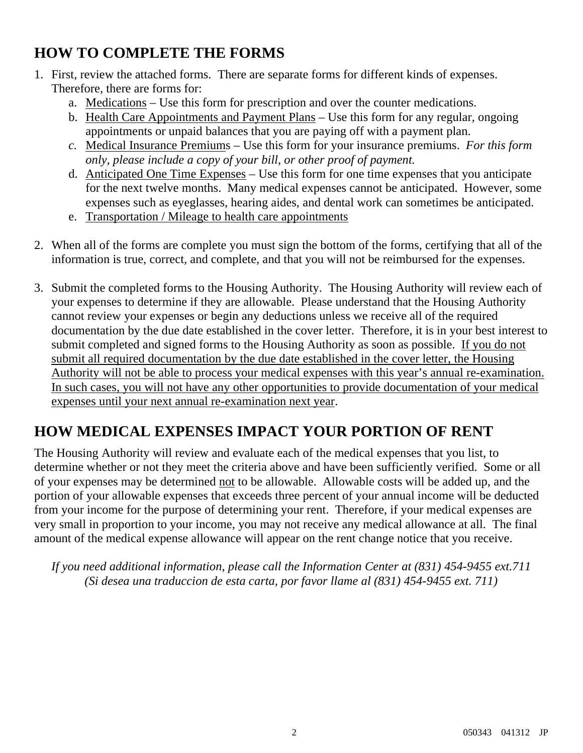### **HOW TO COMPLETE THE FORMS**

- 1. First, review the attached forms. There are separate forms for different kinds of expenses. Therefore, there are forms for:
	- a. Medications Use this form for prescription and over the counter medications.
	- b. Health Care Appointments and Payment Plans Use this form for any regular, ongoing appointments or unpaid balances that you are paying off with a payment plan.
	- *c.* Medical Insurance Premiums Use this form for your insurance premiums. *For this form only, please include a copy of your bill, or other proof of payment.*
	- d. Anticipated One Time Expenses Use this form for one time expenses that you anticipate for the next twelve months. Many medical expenses cannot be anticipated. However, some expenses such as eyeglasses, hearing aides, and dental work can sometimes be anticipated.
	- e. Transportation / Mileage to health care appointments
- 2. When all of the forms are complete you must sign the bottom of the forms, certifying that all of the information is true, correct, and complete, and that you will not be reimbursed for the expenses.
- 3. Submit the completed forms to the Housing Authority. The Housing Authority will review each of your expenses to determine if they are allowable. Please understand that the Housing Authority cannot review your expenses or begin any deductions unless we receive all of the required documentation by the due date established in the cover letter. Therefore, it is in your best interest to submit completed and signed forms to the Housing Authority as soon as possible. If you do not submit all required documentation by the due date established in the cover letter, the Housing Authority will not be able to process your medical expenses with this year's annual re-examination. In such cases, you will not have any other opportunities to provide documentation of your medical expenses until your next annual re-examination next year.

### **HOW MEDICAL EXPENSES IMPACT YOUR PORTION OF RENT**

The Housing Authority will review and evaluate each of the medical expenses that you list, to determine whether or not they meet the criteria above and have been sufficiently verified. Some or all of your expenses may be determined not to be allowable. Allowable costs will be added up, and the portion of your allowable expenses that exceeds three percent of your annual income will be deducted from your income for the purpose of determining your rent. Therefore, if your medical expenses are very small in proportion to your income, you may not receive any medical allowance at all. The final amount of the medical expense allowance will appear on the rent change notice that you receive.

*If you need additional information, please call the Information Center at (831) 454-9455 ext.711 (Si desea una traduccion de esta carta, por favor llame al (831) 454-9455 ext. 711)*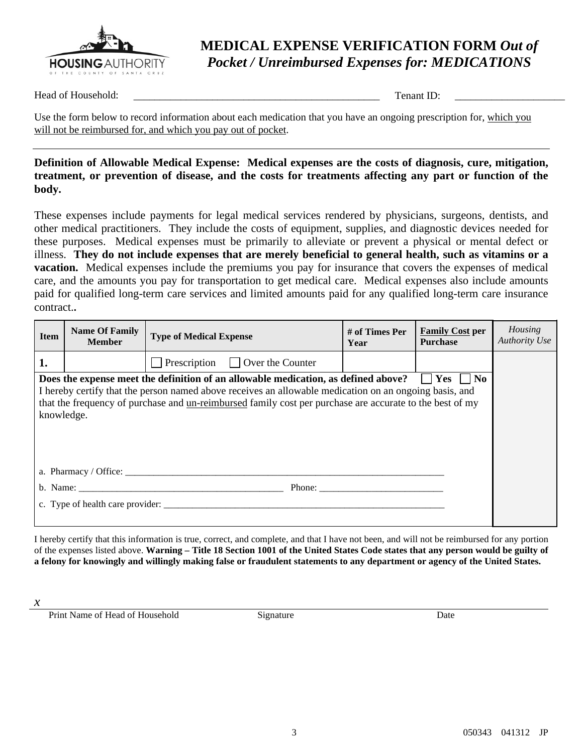

### **MEDICAL EXPENSE VERIFICATION FORM** *Out of Pocket / Unreimbursed Expenses for: MEDICATIONS*

Head of Household: \_\_\_\_\_\_\_\_\_\_\_\_\_\_\_\_\_\_\_\_\_\_\_\_\_\_\_\_\_\_\_\_\_\_\_\_\_\_\_\_\_\_\_\_\_\_\_ Tenant ID: \_\_\_\_\_\_\_\_\_\_\_\_\_\_\_\_\_\_\_\_\_

Use the form below to record information about each medication that you have an ongoing prescription for, which you will not be reimbursed for, and which you pay out of pocket.

#### **Definition of Allowable Medical Expense: Medical expenses are the costs of diagnosis, cure, mitigation, treatment, or prevention of disease, and the costs for treatments affecting any part or function of the body.**

These expenses include payments for legal medical services rendered by physicians, surgeons, dentists, and other medical practitioners. They include the costs of equipment, supplies, and diagnostic devices needed for these purposes. Medical expenses must be primarily to alleviate or prevent a physical or mental defect or illness. **They do not include expenses that are merely beneficial to general health, such as vitamins or a vacation.** Medical expenses include the premiums you pay for insurance that covers the expenses of medical care, and the amounts you pay for transportation to get medical care. Medical expenses also include amounts paid for qualified long-term care services and limited amounts paid for any qualified long-term care insurance contract.**.**

| <b>Item</b>                                                                                                                                                                                                                                                                                                                                           | <b>Name Of Family</b><br><b>Member</b> | <b>Type of Medical Expense</b>       | # of Times Per<br>Year                                                                                                                                                                                                                                                                                                                                                                                       | <b>Family Cost per</b><br><b>Purchase</b> | Housing<br><b>Authority Use</b> |  |
|-------------------------------------------------------------------------------------------------------------------------------------------------------------------------------------------------------------------------------------------------------------------------------------------------------------------------------------------------------|----------------------------------------|--------------------------------------|--------------------------------------------------------------------------------------------------------------------------------------------------------------------------------------------------------------------------------------------------------------------------------------------------------------------------------------------------------------------------------------------------------------|-------------------------------------------|---------------------------------|--|
| 1.                                                                                                                                                                                                                                                                                                                                                    |                                        | Prescription $\Box$ Over the Counter |                                                                                                                                                                                                                                                                                                                                                                                                              |                                           |                                 |  |
| $\Box$ Yes $\Box$ No<br>Does the expense meet the definition of an allowable medication, as defined above?<br>I hereby certify that the person named above receives an allowable medication on an ongoing basis, and<br>that the frequency of purchase and <u>un-reimbursed</u> family cost per purchase are accurate to the best of my<br>knowledge. |                                        |                                      |                                                                                                                                                                                                                                                                                                                                                                                                              |                                           |                                 |  |
| a. Pharmacy / Office: $\qquad \qquad$                                                                                                                                                                                                                                                                                                                 |                                        |                                      |                                                                                                                                                                                                                                                                                                                                                                                                              |                                           |                                 |  |
|                                                                                                                                                                                                                                                                                                                                                       |                                        |                                      | Phone: $\frac{1}{\sqrt{1-\frac{1}{2}}\sqrt{1-\frac{1}{2}}\sqrt{1-\frac{1}{2}}\sqrt{1-\frac{1}{2}}\sqrt{1-\frac{1}{2}}\sqrt{1-\frac{1}{2}}\sqrt{1-\frac{1}{2}}\sqrt{1-\frac{1}{2}}\sqrt{1-\frac{1}{2}}\sqrt{1-\frac{1}{2}}\sqrt{1-\frac{1}{2}}\sqrt{1-\frac{1}{2}}\sqrt{1-\frac{1}{2}}\sqrt{1-\frac{1}{2}}\sqrt{1-\frac{1}{2}}\sqrt{1-\frac{1}{2}}\sqrt{1-\frac{1}{2}}\sqrt{1-\frac{1}{2}}\sqrt{1-\frac{1}{2$ |                                           |                                 |  |
|                                                                                                                                                                                                                                                                                                                                                       |                                        | c. Type of health care provider:     |                                                                                                                                                                                                                                                                                                                                                                                                              |                                           |                                 |  |

I hereby certify that this information is true, correct, and complete, and that I have not been, and will not be reimbursed for any portion of the expenses listed above. **Warning – Title 18 Section 1001 of the United States Code states that any person would be guilty of a felony for knowingly and willingly making false or fraudulent statements to any department or agency of the United States.** 

*x*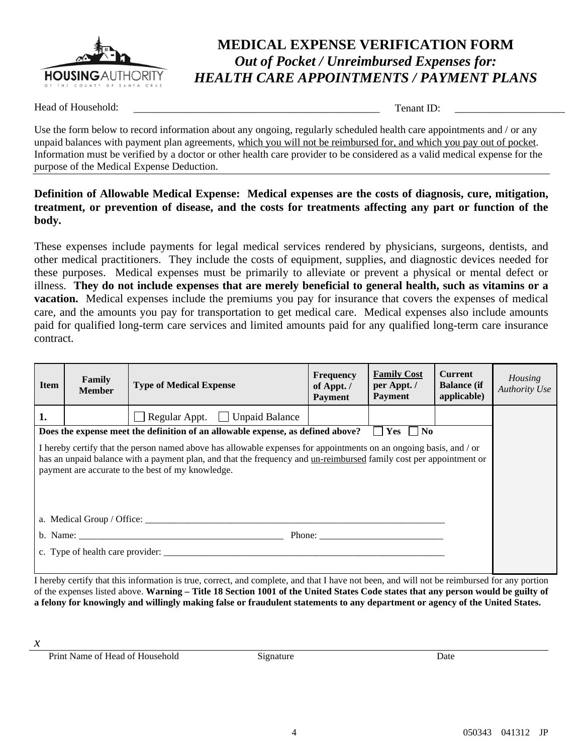

### **MEDICAL EXPENSE VERIFICATION FORM** *Out of Pocket / Unreimbursed Expenses for: HEALTH CARE APPOINTMENTS / PAYMENT PLANS*

Head of Household:  $\Box$  Tenant ID:  $\Box$ 

Use the form below to record information about any ongoing, regularly scheduled health care appointments and / or any unpaid balances with payment plan agreements, which you will not be reimbursed for, and which you pay out of pocket. Information must be verified by a doctor or other health care provider to be considered as a valid medical expense for the purpose of the Medical Expense Deduction.

#### **Definition of Allowable Medical Expense: Medical expenses are the costs of diagnosis, cure, mitigation, treatment, or prevention of disease, and the costs for treatments affecting any part or function of the body.**

These expenses include payments for legal medical services rendered by physicians, surgeons, dentists, and other medical practitioners. They include the costs of equipment, supplies, and diagnostic devices needed for these purposes. Medical expenses must be primarily to alleviate or prevent a physical or mental defect or illness. **They do not include expenses that are merely beneficial to general health, such as vitamins or a vacation.** Medical expenses include the premiums you pay for insurance that covers the expenses of medical care, and the amounts you pay for transportation to get medical care. Medical expenses also include amounts paid for qualified long-term care services and limited amounts paid for any qualified long-term care insurance contract.

| <b>Item</b>                                                                                                                                                                                                                                                                                                                                                                                    | Family<br><b>Member</b> | <b>Type of Medical Expense</b> | <b>Frequency</b><br>of Appt./<br><b>Payment</b> | <b>Family Cost</b><br>per Appt./<br><b>Payment</b> | <b>Current</b><br><b>Balance</b> (if<br>applicable) | Housing<br><b>Authority Use</b> |
|------------------------------------------------------------------------------------------------------------------------------------------------------------------------------------------------------------------------------------------------------------------------------------------------------------------------------------------------------------------------------------------------|-------------------------|--------------------------------|-------------------------------------------------|----------------------------------------------------|-----------------------------------------------------|---------------------------------|
| 1.                                                                                                                                                                                                                                                                                                                                                                                             |                         | Regular Appt. Unpaid Balance   |                                                 |                                                    |                                                     |                                 |
| $ $   Yes     No<br>Does the expense meet the definition of an allowable expense, as defined above?                                                                                                                                                                                                                                                                                            |                         |                                |                                                 |                                                    |                                                     |                                 |
| I hereby certify that the person named above has allowable expenses for appointments on an ongoing basis, and / or<br>has an unpaid balance with a payment plan, and that the frequency and un-reimbursed family cost per appointment or<br>payment are accurate to the best of my knowledge.                                                                                                  |                         |                                |                                                 |                                                    |                                                     |                                 |
|                                                                                                                                                                                                                                                                                                                                                                                                |                         |                                |                                                 |                                                    |                                                     |                                 |
| Phone: $\frac{1}{\sqrt{1-\frac{1}{2}}}\left\{ \frac{1}{2} + \frac{1}{2} \frac{1}{2} + \frac{1}{2} \frac{1}{2} + \frac{1}{2} \frac{1}{2} + \frac{1}{2} \frac{1}{2} + \frac{1}{2} \frac{1}{2} + \frac{1}{2} \frac{1}{2} + \frac{1}{2} \frac{1}{2} + \frac{1}{2} \frac{1}{2} + \frac{1}{2} \frac{1}{2} + \frac{1}{2} \frac{1}{2} + \frac{1}{2} \frac{1}{2} + \frac{1}{2} \frac{1}{2} + \frac{1}{$ |                         |                                |                                                 |                                                    |                                                     |                                 |
|                                                                                                                                                                                                                                                                                                                                                                                                |                         |                                |                                                 |                                                    |                                                     |                                 |
|                                                                                                                                                                                                                                                                                                                                                                                                |                         |                                |                                                 |                                                    |                                                     |                                 |

I hereby certify that this information is true, correct, and complete, and that I have not been, and will not be reimbursed for any portion of the expenses listed above. **Warning – Title 18 Section 1001 of the United States Code states that any person would be guilty of a felony for knowingly and willingly making false or fraudulent statements to any department or agency of the United States.** 

*x*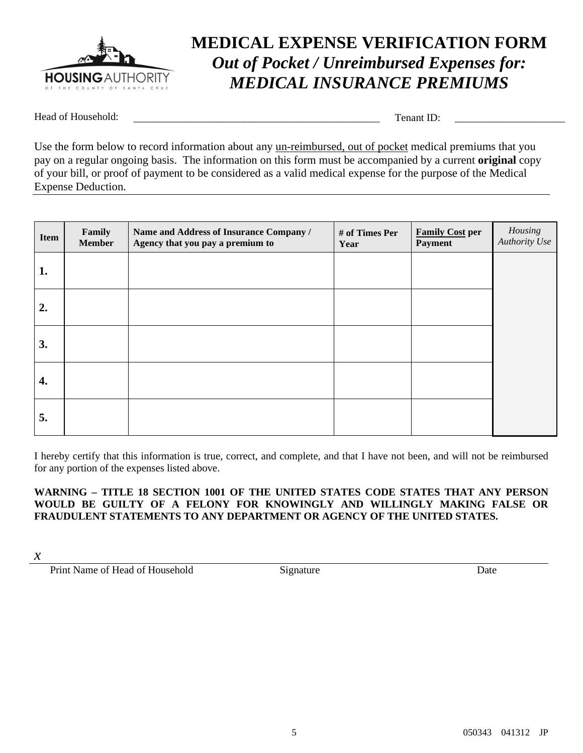

## **MEDICAL EXPENSE VERIFICATION FORM** *Out of Pocket / Unreimbursed Expenses for: MEDICAL INSURANCE PREMIUMS*

Head of Household: \_\_\_\_\_\_\_\_\_\_\_\_\_\_\_\_\_\_\_\_\_\_\_\_\_\_\_\_\_\_\_\_\_\_\_\_\_\_\_\_\_\_\_\_\_\_\_ Tenant ID: \_\_\_\_\_\_\_\_\_\_\_\_\_\_\_\_\_\_\_\_\_

Use the form below to record information about any un-reimbursed, out of pocket medical premiums that you pay on a regular ongoing basis. The information on this form must be accompanied by a current **original** copy of your bill, or proof of payment to be considered as a valid medical expense for the purpose of the Medical Expense Deduction.

| Item | Family<br><b>Member</b> | Name and Address of Insurance Company /<br>Agency that you pay a premium to | # of Times Per<br>Year | <b>Family Cost per</b><br><b>Payment</b> | Housing<br>Authority Use |
|------|-------------------------|-----------------------------------------------------------------------------|------------------------|------------------------------------------|--------------------------|
| 1.   |                         |                                                                             |                        |                                          |                          |
| 2.   |                         |                                                                             |                        |                                          |                          |
| 3.   |                         |                                                                             |                        |                                          |                          |
| 4.   |                         |                                                                             |                        |                                          |                          |
| 5.   |                         |                                                                             |                        |                                          |                          |

I hereby certify that this information is true, correct, and complete, and that I have not been, and will not be reimbursed for any portion of the expenses listed above.

#### **WARNING – TITLE 18 SECTION 1001 OF THE UNITED STATES CODE STATES THAT ANY PERSON WOULD BE GUILTY OF A FELONY FOR KNOWINGLY AND WILLINGLY MAKING FALSE OR FRAUDULENT STATEMENTS TO ANY DEPARTMENT OR AGENCY OF THE UNITED STATES.**

*x*

Print Name of Head of Household Signature Date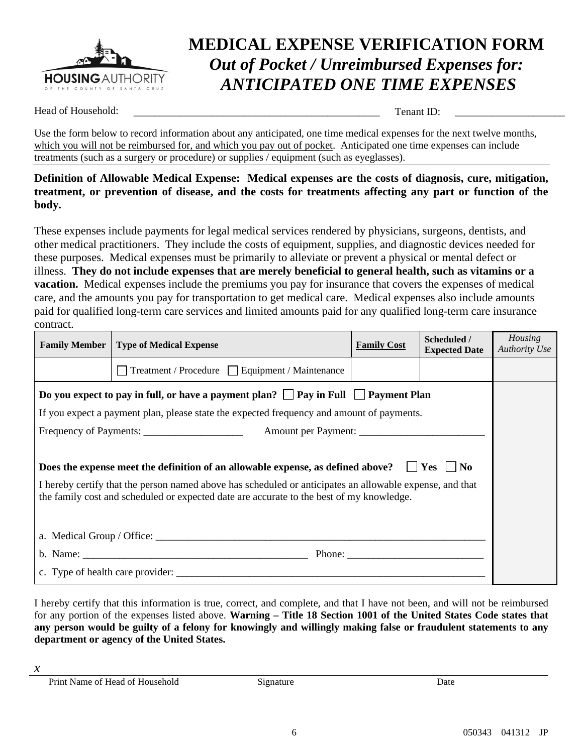

# **MEDICAL EXPENSE VERIFICATION FORM** *Out of Pocket / Unreimbursed Expenses for: ANTICIPATED ONE TIME EXPENSES*

Head of Household: \_\_\_\_\_\_\_\_\_\_\_\_\_\_\_\_\_\_\_\_\_\_\_\_\_\_\_\_\_\_\_\_\_\_\_\_\_\_\_\_\_\_\_\_\_\_\_ Tenant ID: \_\_\_\_\_\_\_\_\_\_\_\_\_\_\_\_\_\_\_\_\_

Use the form below to record information about any anticipated, one time medical expenses for the next twelve months, which you will not be reimbursed for, and which you pay out of pocket. Anticipated one time expenses can include treatments (such as a surgery or procedure) or supplies / equipment (such as eyeglasses).

#### **Definition of Allowable Medical Expense: Medical expenses are the costs of diagnosis, cure, mitigation, treatment, or prevention of disease, and the costs for treatments affecting any part or function of the body.**

These expenses include payments for legal medical services rendered by physicians, surgeons, dentists, and other medical practitioners. They include the costs of equipment, supplies, and diagnostic devices needed for these purposes. Medical expenses must be primarily to alleviate or prevent a physical or mental defect or illness. **They do not include expenses that are merely beneficial to general health, such as vitamins or a vacation.** Medical expenses include the premiums you pay for insurance that covers the expenses of medical care, and the amounts you pay for transportation to get medical care. Medical expenses also include amounts paid for qualified long-term care services and limited amounts paid for any qualified long-term care insurance contract.

|                                                                                                                                                                                                      | <b>Family Member</b>   Type of Medical Expense | <b>Family Cost</b> | Scheduled /<br><b>Expected Date</b> | Housing<br><b>Authority Use</b> |  |
|------------------------------------------------------------------------------------------------------------------------------------------------------------------------------------------------------|------------------------------------------------|--------------------|-------------------------------------|---------------------------------|--|
|                                                                                                                                                                                                      | Treatment / Procedure Equipment / Maintenance  |                    |                                     |                                 |  |
| Do you expect to pay in full, or have a payment plan? $\Box$ Pay in Full $\Box$ Payment Plan                                                                                                         |                                                |                    |                                     |                                 |  |
| If you expect a payment plan, please state the expected frequency and amount of payments.                                                                                                            |                                                |                    |                                     |                                 |  |
|                                                                                                                                                                                                      |                                                |                    |                                     |                                 |  |
|                                                                                                                                                                                                      |                                                |                    |                                     |                                 |  |
| Does the expense meet the definition of an allowable expense, as defined above? $\Box$ Yes $\Box$ No                                                                                                 |                                                |                    |                                     |                                 |  |
| I hereby certify that the person named above has scheduled or anticipates an allowable expense, and that<br>the family cost and scheduled or expected date are accurate to the best of my knowledge. |                                                |                    |                                     |                                 |  |
|                                                                                                                                                                                                      |                                                |                    |                                     |                                 |  |
|                                                                                                                                                                                                      |                                                |                    |                                     |                                 |  |
|                                                                                                                                                                                                      |                                                |                    |                                     |                                 |  |

I hereby certify that this information is true, correct, and complete, and that I have not been, and will not be reimbursed for any portion of the expenses listed above. **Warning – Title 18 Section 1001 of the United States Code states that any person would be guilty of a felony for knowingly and willingly making false or fraudulent statements to any department or agency of the United States.** 

*x*